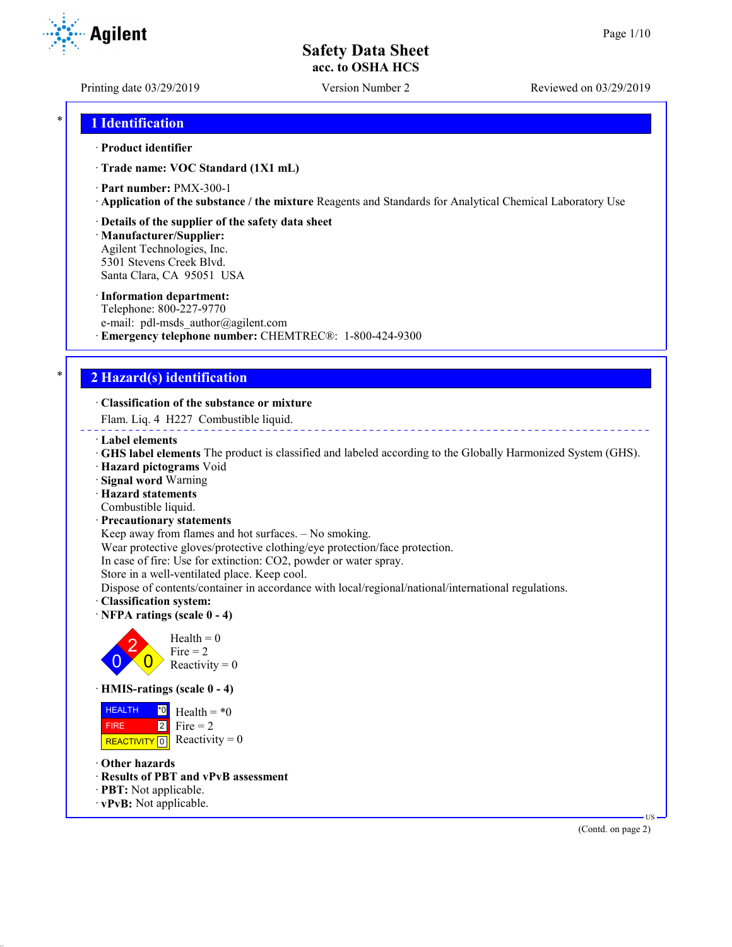Printing date 03/29/2019 Version Number 2 Reviewed on 03/29/2019

### \* **1 Identification**

#### · **Product identifier**

· **Trade name: VOC Standard (1X1 mL)**

· **Part number:** PMX-300-1

· **Application of the substance / the mixture** Reagents and Standards for Analytical Chemical Laboratory Use

#### · **Details of the supplier of the safety data sheet**

· **Manufacturer/Supplier:** Agilent Technologies, Inc. 5301 Stevens Creek Blvd. Santa Clara, CA 95051 USA

#### · **Information department:**

Telephone: 800-227-9770 e-mail: pdl-msds author@agilent.com · **Emergency telephone number:** CHEMTREC®: 1-800-424-9300

## \* **2 Hazard(s) identification**

#### · **Classification of the substance or mixture**

Flam. Liq. 4 H227 Combustible liquid.

- · **Label elements**
- · **GHS label elements** The product is classified and labeled according to the Globally Harmonized System (GHS).
- · **Hazard pictograms** Void
- · **Signal word** Warning
- · **Hazard statements**
- Combustible liquid.
- · **Precautionary statements**

Keep away from flames and hot surfaces. – No smoking.

Wear protective gloves/protective clothing/eye protection/face protection.

In case of fire: Use for extinction: CO2, powder or water spray.

Store in a well-ventilated place. Keep cool.

Dispose of contents/container in accordance with local/regional/national/international regulations.

- · **Classification system:**
- · **NFPA ratings (scale 0 4)**



· **HMIS-ratings (scale 0 - 4)**

 HEALTH FIRE REACTIVITY  $\boxed{0}$  Reactivity = 0 \*0 2 Health =  $*0$ Fire  $= 2$ 

- · **Other hazards**
- · **Results of PBT and vPvB assessment**
- · **PBT:** Not applicable.
- · **vPvB:** Not applicable.

(Contd. on page 2)

US

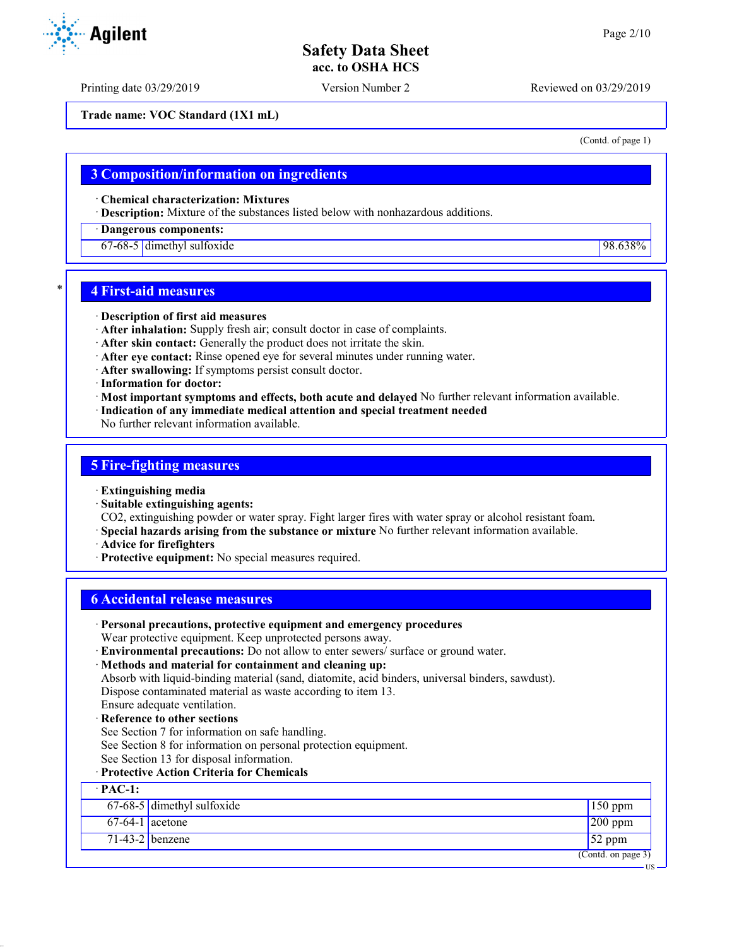Printing date 03/29/2019 Version Number 2 Reviewed on 03/29/2019

**Trade name: VOC Standard (1X1 mL)**

(Contd. of page 1)

### **3 Composition/information on ingredients**

· **Chemical characterization: Mixtures**

· **Description:** Mixture of the substances listed below with nonhazardous additions.

### · **Dangerous components:**

67-68-5 dimethyl sulfoxide 98.638%

### \* **4 First-aid measures**

- · **Description of first aid measures**
- · **After inhalation:** Supply fresh air; consult doctor in case of complaints.
- · **After skin contact:** Generally the product does not irritate the skin.
- · **After eye contact:** Rinse opened eye for several minutes under running water.
- · **After swallowing:** If symptoms persist consult doctor.
- · **Information for doctor:**
- · **Most important symptoms and effects, both acute and delayed** No further relevant information available.
- · **Indication of any immediate medical attention and special treatment needed**
- No further relevant information available.

### **5 Fire-fighting measures**

- · **Extinguishing media**
- · **Suitable extinguishing agents:**
- CO2, extinguishing powder or water spray. Fight larger fires with water spray or alcohol resistant foam.
- · **Special hazards arising from the substance or mixture** No further relevant information available.
- · **Advice for firefighters**
- · **Protective equipment:** No special measures required.

## **6 Accidental release measures**

- · **Personal precautions, protective equipment and emergency procedures** Wear protective equipment. Keep unprotected persons away.
- · **Environmental precautions:** Do not allow to enter sewers/ surface or ground water.
- · **Methods and material for containment and cleaning up:**

Absorb with liquid-binding material (sand, diatomite, acid binders, universal binders, sawdust). Dispose contaminated material as waste according to item 13.

- Ensure adequate ventilation. · **Reference to other sections**
- See Section 7 for information on safe handling.
- See Section 8 for information on personal protection equipment.
- See Section 13 for disposal information.
- · **Protective Action Criteria for Chemicals**

· **PAC-1:** 67-68-5 dimethyl sulfoxide 150 ppm  $67-64-1$  acetone 200 ppm  $71-43-2$  benzene  $52$  ppm (Contd. on page 3) US

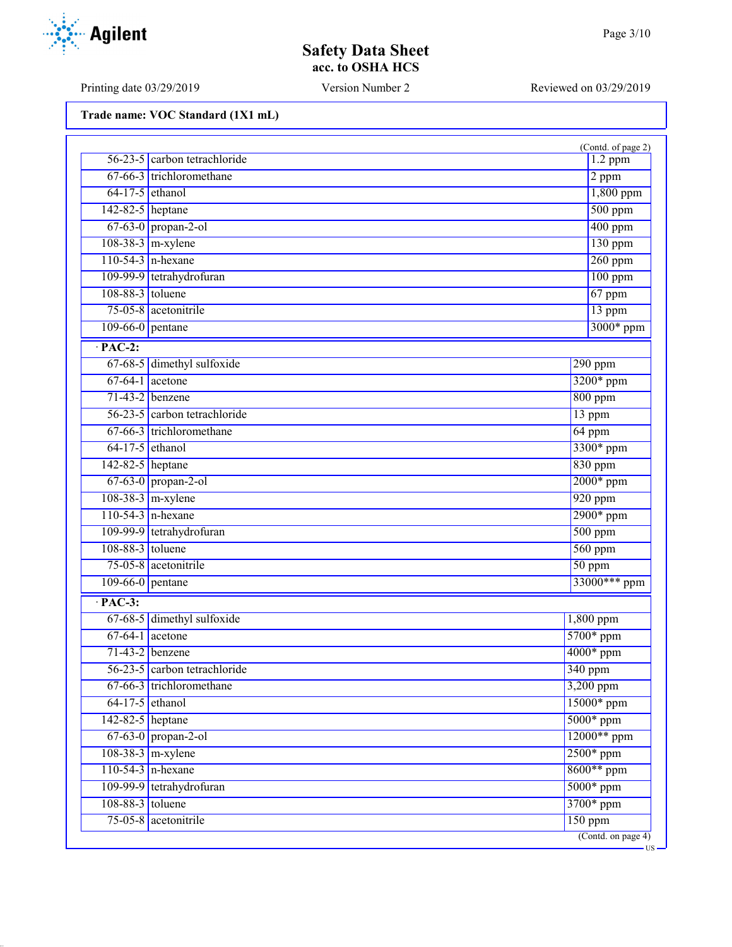US

# **Safety Data Sheet acc. to OSHA HCS**

Printing date 03/29/2019 Version Number 2 Reviewed on 03/29/2019

**Trade name: VOC Standard (1X1 mL)**

|                    |                              | (Contd. of page 2)       |
|--------------------|------------------------------|--------------------------|
|                    | 56-23-5 carbon tetrachloride | $1.2$ ppm                |
|                    | 67-66-3 trichloromethane     | $2$ ppm                  |
| $64-17-5$ ethanol  |                              | $1,800$ ppm              |
| 142-82-5 heptane   |                              | $500$ ppm                |
|                    | $67-63-0$ propan-2-ol        | $400$ ppm                |
|                    | $108-38-3$ m-xylene          | $130$ ppm                |
|                    | $110-54-3$ n-hexane          | $260$ ppm                |
|                    | 109-99-9 tetrahydrofuran     | $100$ ppm                |
| 108-88-3 toluene   |                              | $67$ ppm                 |
|                    | 75-05-8 acetonitrile         | 13 ppm                   |
| $109-66-0$ pentane |                              | 3000* ppm                |
| $\cdot$ PAC-2:     |                              |                          |
|                    | 67-68-5 dimethyl sulfoxide   | $290$ ppm                |
| $67-64-1$ acetone  |                              | 3200* ppm                |
|                    | $71-43-2$ benzene            | $800$ ppm                |
|                    | 56-23-5 carbon tetrachloride | 13 ppm                   |
|                    | 67-66-3 trichloromethane     | $64$ ppm                 |
| $64-17-5$ ethanol  |                              | 3300* ppm                |
| 142-82-5 heptane   |                              | $830$ ppm                |
|                    | 67-63-0 propan-2-ol          | $2000*$ ppm              |
|                    | $108-38-3$ m-xylene          | 920 ppm                  |
|                    | $110-54-3$ n-hexane          | $2900*$ ppm              |
|                    | 109-99-9 tetrahydrofuran     | $500$ ppm                |
| 108-88-3 toluene   |                              | $560$ ppm                |
|                    | 75-05-8 acetonitrile         | $50$ ppm                 |
| $109-66-0$ pentane | 33000*** ppm                 |                          |
| $\cdot$ PAC-3:     |                              |                          |
|                    | 67-68-5 dimethyl sulfoxide   | 1,800 ppm                |
|                    | $67-64-1$ acetone            | 5700* ppm                |
|                    | $71-43-2$ benzene            | $4000*$ ppm              |
|                    | 56-23-5 carbon tetrachloride | 340 ppm                  |
|                    | 67-66-3 trichloromethane     | 3,200 ppm                |
| $64-17-5$ ethanol  |                              | 15000* ppm               |
| 142-82-5 heptane   |                              | $5000*$ ppm              |
|                    | $67-63-0$ propan-2-ol        | 12000** ppm              |
|                    | $108-38-3$ m-xylene          | 2500* ppm                |
|                    | $110-54-3$ n-hexane          | 8600** ppm               |
|                    | 109-99-9 tetrahydrofuran     | 5000* ppm                |
| 108-88-3 toluene   |                              | 3700* ppm                |
|                    | 75-05-8 acetonitrile         | $150$ ppm                |
|                    |                              | $($ Contd. on page 4 $)$ |

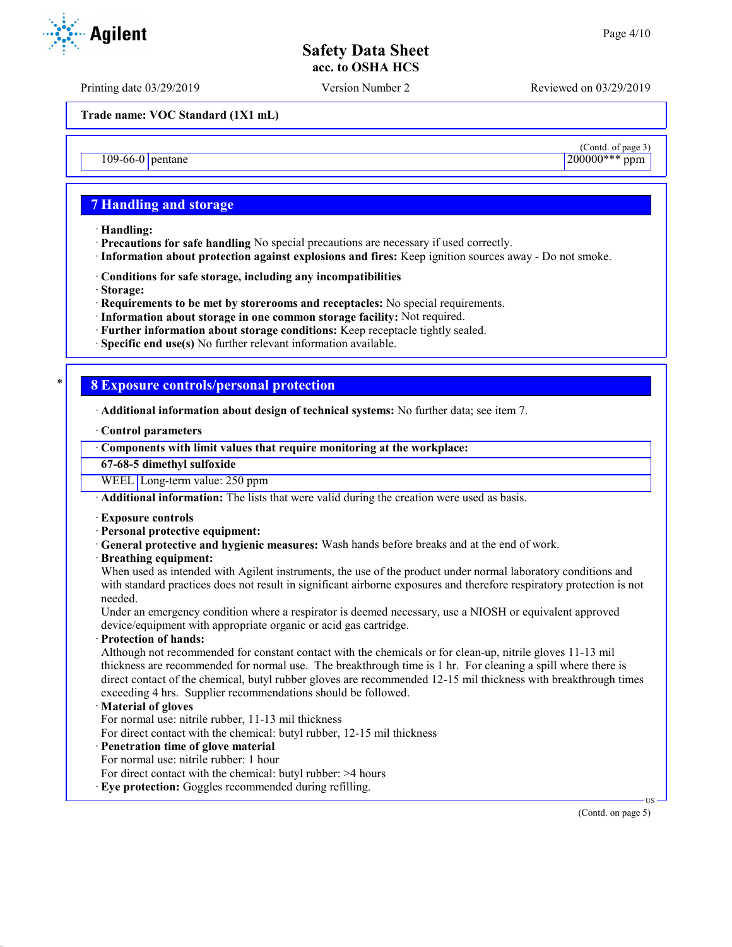Printing date 03/29/2019 Version Number 2 Reviewed on 03/29/2019

**Trade name: VOC Standard (1X1 mL)**

109-66-0 pentane

### **7 Handling and storage**

- · **Handling:**
- · **Precautions for safe handling** No special precautions are necessary if used correctly.
- · **Information about protection against explosions and fires:** Keep ignition sources away Do not smoke.
- · **Conditions for safe storage, including any incompatibilities**
- · **Storage:**
- · **Requirements to be met by storerooms and receptacles:** No special requirements.
- · **Information about storage in one common storage facility:** Not required.
- · **Further information about storage conditions:** Keep receptacle tightly sealed.
- · **Specific end use(s)** No further relevant information available.

### \* **8 Exposure controls/personal protection**

- · **Additional information about design of technical systems:** No further data; see item 7.
- · **Control parameters**

### · **Components with limit values that require monitoring at the workplace:**

**67-68-5 dimethyl sulfoxide**

WEEL Long-term value: 250 ppm

· **Additional information:** The lists that were valid during the creation were used as basis.

- · **Exposure controls**
- · **Personal protective equipment:**
- · **General protective and hygienic measures:** Wash hands before breaks and at the end of work.
- · **Breathing equipment:**

When used as intended with Agilent instruments, the use of the product under normal laboratory conditions and with standard practices does not result in significant airborne exposures and therefore respiratory protection is not needed.

Under an emergency condition where a respirator is deemed necessary, use a NIOSH or equivalent approved device/equipment with appropriate organic or acid gas cartridge.

· **Protection of hands:**

Although not recommended for constant contact with the chemicals or for clean-up, nitrile gloves 11-13 mil thickness are recommended for normal use. The breakthrough time is 1 hr. For cleaning a spill where there is direct contact of the chemical, butyl rubber gloves are recommended 12-15 mil thickness with breakthrough times exceeding 4 hrs. Supplier recommendations should be followed.

#### · **Material of gloves**

For normal use: nitrile rubber, 11-13 mil thickness

- For direct contact with the chemical: butyl rubber, 12-15 mil thickness
- · **Penetration time of glove material**
- For normal use: nitrile rubber: 1 hour
- For direct contact with the chemical: butyl rubber: >4 hours
- · **Eye protection:** Goggles recommended during refilling.

(Contd. on page 5)

US



 $\frac{\text{(Contd. of page 3)}}{200000***\text{ ppm}}$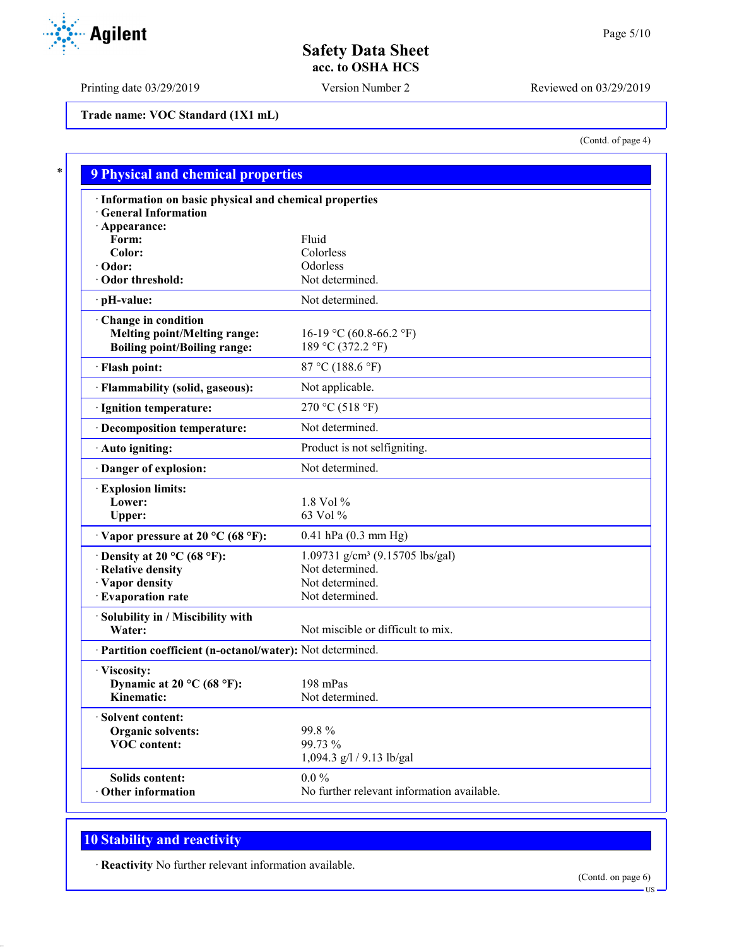Printing date 03/29/2019 Version Number 2 Reviewed on 03/29/2019

**Trade name: VOC Standard (1X1 mL)**

(Contd. of page 4)

| · Information on basic physical and chemical properties    |                                             |
|------------------------------------------------------------|---------------------------------------------|
| · General Information                                      |                                             |
| · Appearance:                                              |                                             |
| Form:                                                      | Fluid                                       |
| Color:                                                     | Colorless                                   |
| $\cdot$ Odor:                                              | Odorless<br>Not determined.                 |
| · Odor threshold:                                          |                                             |
| · pH-value:                                                | Not determined.                             |
| Change in condition                                        |                                             |
| <b>Melting point/Melting range:</b>                        | 16-19 °C (60.8-66.2 °F)                     |
| <b>Boiling point/Boiling range:</b>                        | 189 °C (372.2 °F)                           |
| · Flash point:                                             | 87 °C (188.6 °F)                            |
| · Flammability (solid, gaseous):                           | Not applicable.                             |
| · Ignition temperature:                                    | 270 °C (518 °F)                             |
| · Decomposition temperature:                               | Not determined.                             |
| · Auto igniting:                                           | Product is not selfigniting.                |
| Danger of explosion:                                       | Not determined.                             |
| · Explosion limits:                                        |                                             |
| Lower:                                                     | 1.8 Vol %                                   |
| Upper:                                                     | 63 Vol %                                    |
| $\cdot$ Vapor pressure at 20 °C (68 °F):                   | $0.41$ hPa $(0.3$ mm Hg)                    |
| $\cdot$ Density at 20 °C (68 °F):                          | 1.09731 g/cm <sup>3</sup> (9.15705 lbs/gal) |
| · Relative density                                         | Not determined.                             |
| · Vapor density                                            | Not determined.                             |
| · Evaporation rate                                         | Not determined.                             |
| · Solubility in / Miscibility with                         |                                             |
| Water:                                                     | Not miscible or difficult to mix.           |
| · Partition coefficient (n-octanol/water): Not determined. |                                             |
| · Viscosity:                                               |                                             |
| Dynamic at 20 °C (68 °F):                                  | 198 mPas                                    |
| Kinematic:                                                 | Not determined.                             |
| · Solvent content:                                         |                                             |
| <b>Organic solvents:</b>                                   | 99.8%                                       |
| <b>VOC</b> content:                                        | 99.73 %                                     |
|                                                            | 1,094.3 g/l / 9.13 lb/gal                   |
| Solids content:                                            | $0.0\%$                                     |
| Other information                                          | No further relevant information available.  |

# **10 Stability and reactivity**

· **Reactivity** No further relevant information available.



US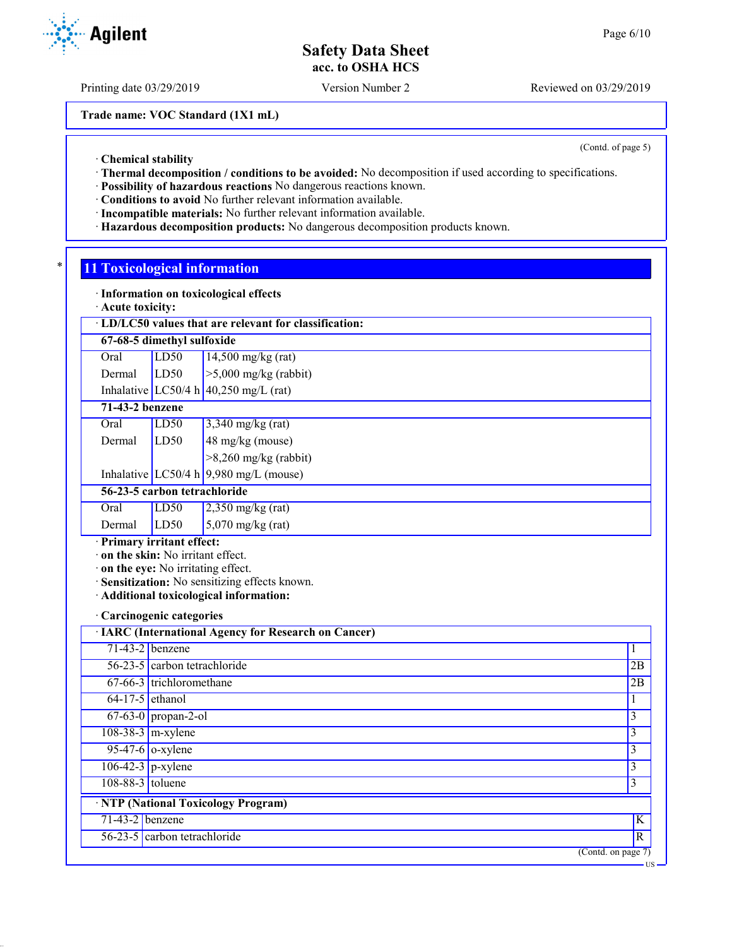Printing date 03/29/2019 Version Number 2 Reviewed on 03/29/2019

**Trade name: VOC Standard (1X1 mL)**

(Contd. of page 5)

US

· **Chemical stability**

- · **Thermal decomposition / conditions to be avoided:** No decomposition if used according to specifications.
- · **Possibility of hazardous reactions** No dangerous reactions known.
- · **Conditions to avoid** No further relevant information available.
- · **Incompatible materials:** No further relevant information available.
- · **Hazardous decomposition products:** No dangerous decomposition products known.

## **11 Toxicological information**

· **Information on toxicological effects**

· **Acute toxicity:**

| $\cdot$ LD/LC50 values that are relevant for classification: |      |                      |  |
|--------------------------------------------------------------|------|----------------------|--|
| 67-68-5 dimethyl sulfoxide                                   |      |                      |  |
| Oral                                                         | LD50 | $14,500$ mg/kg (rat) |  |

Dermal LD50 >5,000 mg/kg (rabbit) Inhalative  $LC50/4 h | 40,250$  mg/L (rat)

**71-43-2 benzene**

- Oral LD50 3,340 mg/kg (rat) Dermal LD50 48 mg/kg (mouse)
	- >8,260 mg/kg (rabbit)

Inhalative LC50/4 h 9,980 mg/L (mouse)

**56-23-5 carbon tetrachloride**

Oral LD50 2,350 mg/kg (rat) Dermal  $\begin{array}{|c|c|c|} \hline \text{LD50} & \text{5,070 mg/kg (rat)} \hline \end{array}$ 

## · **Primary irritant effect:**

· **on the skin:** No irritant effect.

- · **on the eye:** No irritating effect.
- · **Sensitization:** No sensitizing effects known.
- · **Additional toxicological information:**

#### · **Carcinogenic categories**

|                   | · IARC (International Agency for Research on Cancer) |                                        |
|-------------------|------------------------------------------------------|----------------------------------------|
|                   | $71-43-2$ benzene                                    |                                        |
|                   | 56-23-5 carbon tetrachloride                         | 2B                                     |
|                   | 67-66-3 trichloromethane                             | 2B                                     |
|                   | $64-17-5$ ethanol                                    |                                        |
|                   | $67-63-0$ propan-2-ol                                | 3                                      |
|                   | $108-38-3$ m-xylene                                  | 3                                      |
|                   | $95-47-6$ o-xylene                                   | 3                                      |
|                   | $106-42-3$ p-xylene                                  | 3                                      |
| 108-88-3 toluene  |                                                      | 3                                      |
|                   | · NTP (National Toxicology Program)                  |                                        |
| $71-43-2$ benzene |                                                      | K                                      |
|                   | 56-23-5 carbon tetrachloride                         | R                                      |
|                   |                                                      | $\overline{(\text{Contd. on page 7})}$ |

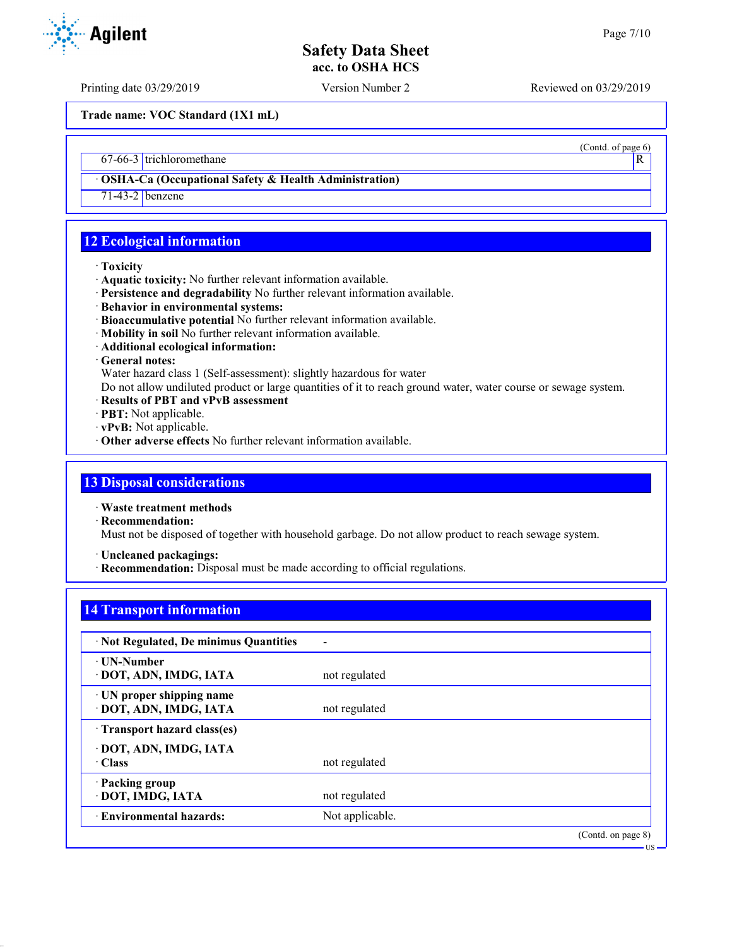(Contd. of page 6)

## **Safety Data Sheet acc. to OSHA HCS**

Printing date 03/29/2019 Version Number 2 Reviewed on 03/29/2019

**Trade name: VOC Standard (1X1 mL)**

67-66-3 trichloromethane R

· **OSHA-Ca (Occupational Safety & Health Administration)**

71-43-2 benzene

## **12 Ecological information**

#### · **Toxicity**

- · **Aquatic toxicity:** No further relevant information available.
- · **Persistence and degradability** No further relevant information available.
- · **Behavior in environmental systems:**
- · **Bioaccumulative potential** No further relevant information available.
- · **Mobility in soil** No further relevant information available.
- · **Additional ecological information:**

#### · **General notes:**

Water hazard class 1 (Self-assessment): slightly hazardous for water

Do not allow undiluted product or large quantities of it to reach ground water, water course or sewage system.

- · **Results of PBT and vPvB assessment**
- · **PBT:** Not applicable.
- · **vPvB:** Not applicable.
- · **Other adverse effects** No further relevant information available.

## **13 Disposal considerations**

· **Waste treatment methods**

· **Recommendation:**

Must not be disposed of together with household garbage. Do not allow product to reach sewage system.

· **Uncleaned packagings:**

· **Recommendation:** Disposal must be made according to official regulations.

### **14 Transport information**

| · Not Regulated, De minimus Quantities              |                 |                    |
|-----------------------------------------------------|-----------------|--------------------|
| ⋅ UN-Number<br>· DOT, ADN, IMDG, IATA               | not regulated   |                    |
| · UN proper shipping name<br>· DOT, ADN, IMDG, IATA | not regulated   |                    |
| Transport hazard class(es)                          |                 |                    |
| · DOT, ADN, IMDG, IATA<br>$\cdot$ Class             | not regulated   |                    |
| · Packing group<br>· DOT, IMDG, IATA                | not regulated   |                    |
| <b>Environmental hazards:</b>                       | Not applicable. |                    |
|                                                     |                 | (Contd. on page 8) |



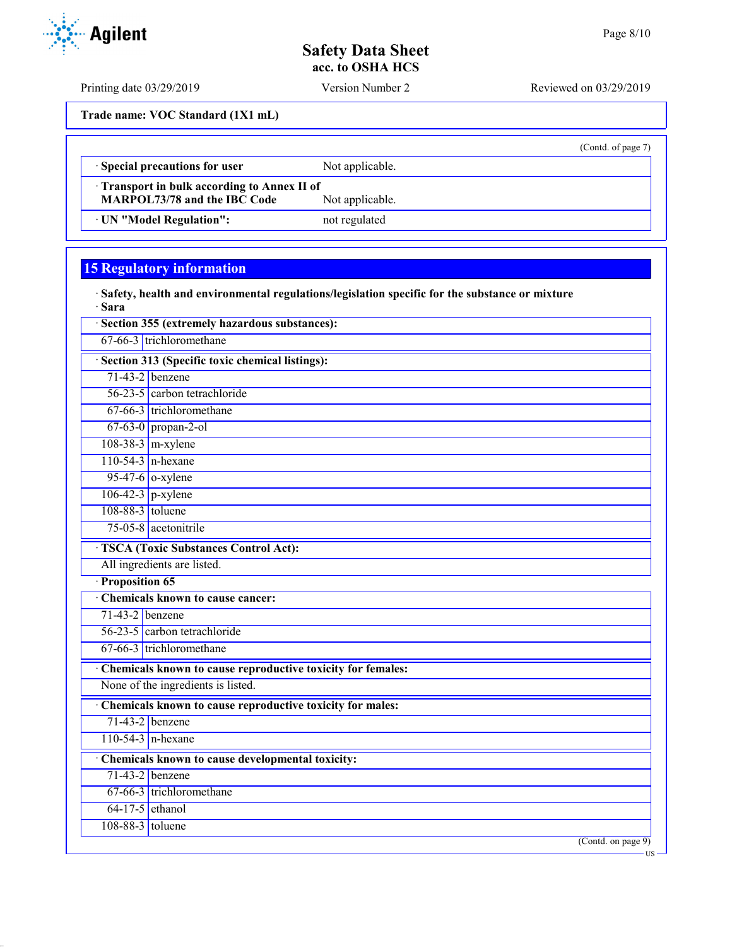(Contd. of page 7)

## **Safety Data Sheet acc. to OSHA HCS**

**Trade name: VOC Standard (1X1 mL)**

· **Special precautions for user** Not applicable.

· **Transport in bulk according to Annex II of MARPOL73/78 and the IBC Code** 

· **UN "Model Regulation":** not regulated

**15 Regulatory information**

· **Safety, health and environmental regulations/legislation specific for the substance or mixture** · **Sara**

|                     | Section 355 (extremely hazardous substances):               |
|---------------------|-------------------------------------------------------------|
|                     | 67-66-3 trichloromethane                                    |
|                     | · Section 313 (Specific toxic chemical listings):           |
|                     | $71-43-2$ benzene                                           |
|                     | $56-23-5$ carbon tetrachloride                              |
|                     | 67-66-3 trichloromethane                                    |
|                     | $67-63-0$ propan-2-ol                                       |
|                     | $108-38-3$ m-xylene                                         |
|                     | $110-54-3$ n-hexane                                         |
|                     | $95-47-6$ o-xylene                                          |
| $106-42-3$ p-xylene |                                                             |
| 108-88-3 toluene    |                                                             |
|                     | 75-05-8 acetonitrile                                        |
|                     | <b>TSCA</b> (Toxic Substances Control Act):                 |
|                     | All ingredients are listed.                                 |
| · Proposition 65    |                                                             |
|                     | <b>Chemicals known to cause cancer:</b>                     |
| $71-43-2$ benzene   |                                                             |
|                     | 56-23-5 carbon tetrachloride                                |
|                     | $67-66-3$ trichloromethane                                  |
|                     | Chemicals known to cause reproductive toxicity for females: |
|                     | None of the ingredients is listed.                          |
|                     | Chemicals known to cause reproductive toxicity for males:   |
|                     | $71-43-2$ benzene                                           |
|                     | $110-54-3$ n-hexane                                         |
|                     | Chemicals known to cause developmental toxicity:            |
|                     | $71-43-2$ benzene                                           |
|                     | 67-66-3 trichloromethane                                    |
| $64-17-5$ ethanol   |                                                             |
| 108-88-3 toluene    |                                                             |
|                     | $($ Contd. on page $9)$                                     |



Printing date 03/29/2019 Version Number 2 Reviewed on 03/29/2019

US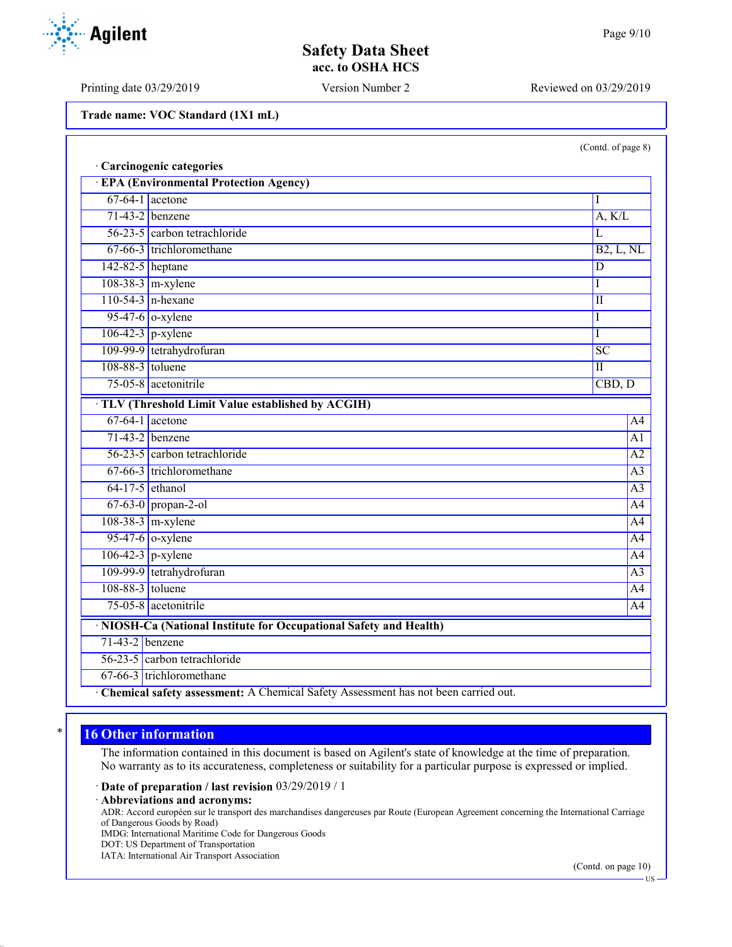Printing date 03/29/2019 Version Number 2 Reviewed on 03/29/2019

**Trade name: VOC Standard (1X1 mL)**

**Agilent** 

|  | (Contd. of page 8) |  |
|--|--------------------|--|
|--|--------------------|--|

|                     | · Carcinogenic categories                                                            |                 |
|---------------------|--------------------------------------------------------------------------------------|-----------------|
|                     | <b>EPA (Environmental Protection Agency)</b>                                         |                 |
|                     | $67-64-1$ acetone                                                                    | I               |
|                     | $71-43-2$ benzene                                                                    | A, K/L          |
|                     | 56-23-5 carbon tetrachloride                                                         | L               |
|                     | 67-66-3 trichloromethane                                                             | B2, L, NL       |
| 142-82-5 heptane    |                                                                                      | D               |
|                     | $108-38-3$ m-xylene                                                                  | I               |
|                     | $110-54-3$ n-hexane                                                                  | $\mathbf{I}$    |
|                     | $95-47-6$ o-xylene                                                                   | I               |
|                     | $106-42-3$ p-xylene                                                                  | I               |
|                     | 109-99-9 tetrahydrofuran                                                             | $\overline{SC}$ |
| 108-88-3 toluene    |                                                                                      | $\mathbf{I}$    |
|                     | 75-05-8 acetonitrile                                                                 | CBD, D          |
|                     | TLV (Threshold Limit Value established by ACGIH)                                     |                 |
|                     | $67-64-1$ acetone                                                                    | A4              |
|                     | $71-43-2$ benzene                                                                    | A <sub>1</sub>  |
|                     | 56-23-5 carbon tetrachloride                                                         | A2              |
|                     | 67-66-3 trichloromethane                                                             | A <sub>3</sub>  |
| $64-17-5$ ethanol   |                                                                                      | $\overline{A3}$ |
|                     | $67-63-0$ propan-2-ol                                                                | A4              |
|                     | $108-38-3$ m-xylene                                                                  | A4              |
|                     | $95-47-6$ o-xylene                                                                   | $\overline{A4}$ |
| $106-42-3$ p-xylene |                                                                                      | A4              |
|                     | 109-99-9 tetrahydrofuran                                                             | A <sub>3</sub>  |
| 108-88-3 toluene    |                                                                                      | $\overline{A4}$ |
|                     | 75-05-8 acetonitrile                                                                 | A4              |
|                     | · NIOSH-Ca (National Institute for Occupational Safety and Health)                   |                 |
| $71-43-2$ benzene   |                                                                                      |                 |
|                     | 56-23-5 carbon tetrachloride                                                         |                 |
|                     | 67-66-3 trichloromethane                                                             |                 |
|                     | · Chemical safety assessment: A Chemical Safety Assessment has not been carried out. |                 |

## **16 Other information**

The information contained in this document is based on Agilent's state of knowledge at the time of preparation. No warranty as to its accurateness, completeness or suitability for a particular purpose is expressed or implied.

· **Date of preparation / last revision** 03/29/2019 / 1

· **Abbreviations and acronyms:**

ADR: Accord européen sur le transport des marchandises dangereuses par Route (European Agreement concerning the International Carriage of Dangerous Goods by Road)

IMDG: International Maritime Code for Dangerous Goods

DOT: US Department of Transportation

IATA: International Air Transport Association